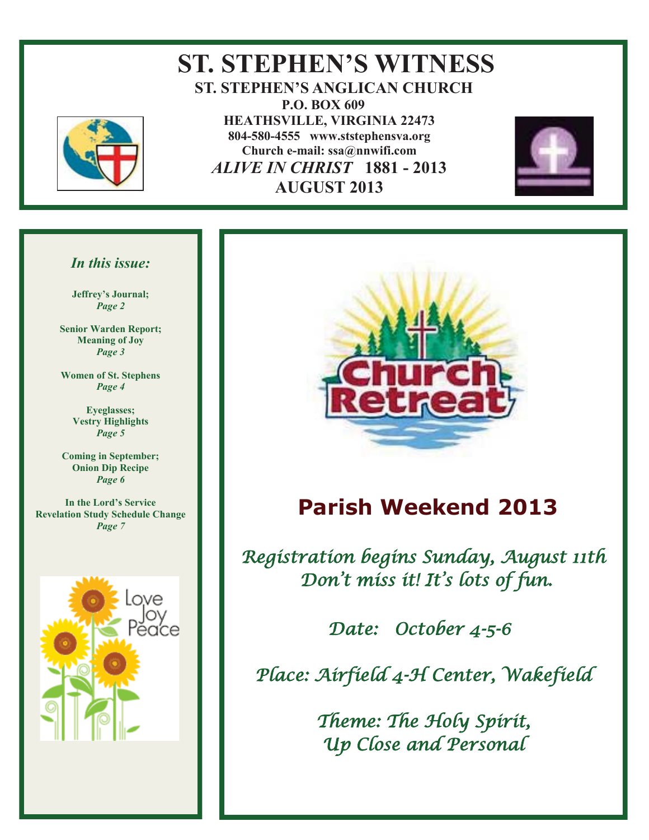

### **ST. STEPHEN'S WITNESS ST. STEPHEN'S ANGLICAN CHURCH P.O. BOX 609 HEATHSVILLE, VIRGINIA 22473 804-580-4555 www.ststephensva.org Church e-mail: ssa@nnwifi.com**   *ALIVE IN CHRIST* **1881 - 2013 AUGUST 2013**



#### *In this issue:*

**Jeffrey's Journal;** *Page 2* 

**Senior Warden Report; Meaning of Joy**  *Page 3* 

**Women of St. Stephens** *Page 4* 

> **Eyeglasses; Vestry Highlights**  *Page 5*

**Coming in September; Onion Dip Recipe** *Page 6* 

**In the Lord's Service Revelation Study Schedule Change**  *Page 7* 





## **Parish Weekend 2013**

Registration begins Sunday, August 11th Don 't miss it! It' s lots of fun.

Date: October 4-5-6

Place: Airfield 4-H Center, Wakefield

Theme: The Holy Spirit, Up Close and Personal

Ī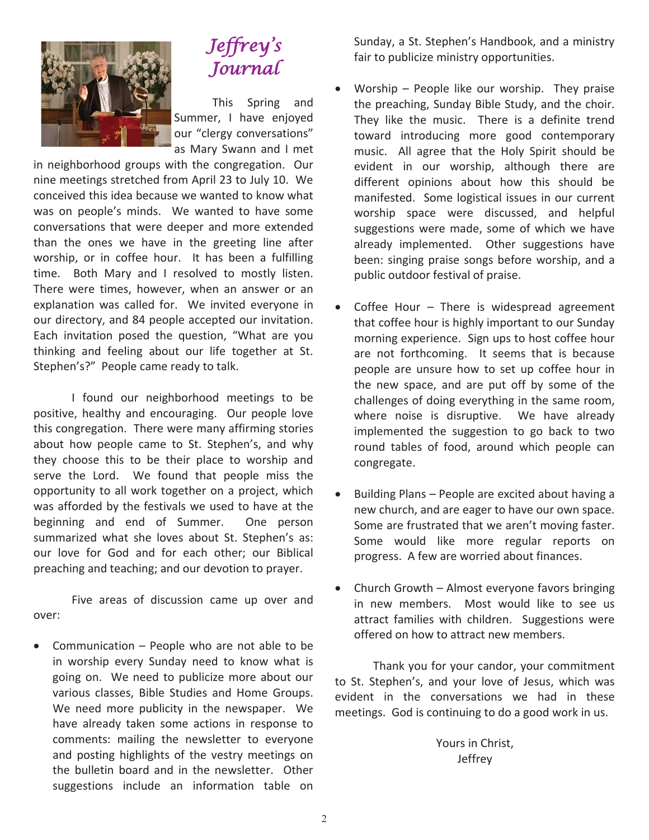

### Jeffrey ' s Journal

This Spring and Summer, I have enjoyed our "clergy conversations" as Mary Swann and I met

in neighborhood groups with the congregation. Our nine meetings stretched from April 23 to July 10. We conceived this idea because we wanted to know what was on people's minds. We wanted to have some conversations that were deeper and more extended than the ones we have in the greeting line after worship, or in coffee hour. It has been a fulfilling time. Both Mary and I resolved to mostly listen. There were times, however, when an answer or an explanation was called for. We invited everyone in our directory, and 84 people accepted our invitation. Each invitation posed the question, "What are you thinking and feeling about our life together at St. Stephen's?" People came ready to talk.

 I found our neighborhood meetings to be positive, healthy and encouraging. Our people love this congregation. There were many affirming stories about how people came to St. Stephen's, and why they choose this to be their place to worship and serve the Lord. We found that people miss the opportunity to all work together on a project, which was afforded by the festivals we used to have at the beginning and end of Summer. One person summarized what she loves about St. Stephen's as: our love for God and for each other; our Biblical preaching and teaching; and our devotion to prayer.

 Five areas of discussion came up over and over:

• Communication – People who are not able to be in worship every Sunday need to know what is going on. We need to publicize more about our various classes, Bible Studies and Home Groups. We need more publicity in the newspaper. We have already taken some actions in response to comments: mailing the newsletter to everyone and posting highlights of the vestry meetings on the bulletin board and in the newsletter. Other suggestions include an information table on

Sunday, a St. Stephen's Handbook, and a ministry fair to publicize ministry opportunities.

- x Worship People like our worship. They praise the preaching, Sunday Bible Study, and the choir. They like the music. There is a definite trend toward introducing more good contemporary music. All agree that the Holy Spirit should be evident in our worship, although there are different opinions about how this should be manifested. Some logistical issues in our current worship space were discussed, and helpful suggestions were made, some of which we have already implemented. Other suggestions have been: singing praise songs before worship, and a public outdoor festival of praise.
- $\bullet$  Coffee Hour There is widespread agreement that coffee hour is highly important to our Sunday morning experience. Sign ups to host coffee hour are not forthcoming. It seems that is because people are unsure how to set up coffee hour in the new space, and are put off by some of the challenges of doing everything in the same room, where noise is disruptive. We have already implemented the suggestion to go back to two round tables of food, around which people can congregate.
- Building Plans People are excited about having a new church, and are eager to have our own space. Some are frustrated that we aren't moving faster. Some would like more regular reports on progress. A few are worried about finances.
- Church Growth Almost everyone favors bringing in new members. Most would like to see us attract families with children. Suggestions were offered on how to attract new members.

 Thank you for your candor, your commitment to St. Stephen's, and your love of Jesus, which was evident in the conversations we had in these meetings. God is continuing to do a good work in us.

> Yours in Christ, Jeffrey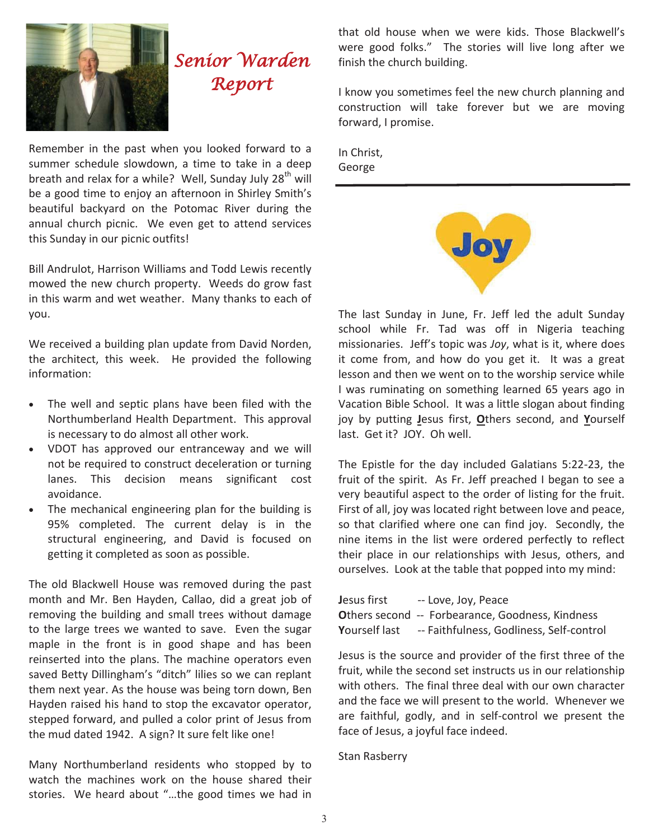

# Senior Warden Report

Remember in the past when you looked forward to a summer schedule slowdown, a time to take in a deep breath and relax for a while? Well, Sunday July  $28<sup>th</sup>$  will be a good time to enjoy an afternoon in Shirley Smith's beautiful backyard on the Potomac River during the annual church picnic. We even get to attend services this Sunday in our picnic outfits!

Bill Andrulot, Harrison Williams and Todd Lewis recently mowed the new church property. Weeds do grow fast in this warm and wet weather. Many thanks to each of you.

We received a building plan update from David Norden, the architect, this week. He provided the following information:

- The well and septic plans have been filed with the Northumberland Health Department. This approval is necessary to do almost all other work.
- x VDOT has approved our entranceway and we will not be required to construct deceleration or turning lanes. This decision means significant cost avoidance.
- The mechanical engineering plan for the building is 95% completed. The current delay is in the structural engineering, and David is focused on getting it completed as soon as possible.

The old Blackwell House was removed during the past month and Mr. Ben Hayden, Callao, did a great job of removing the building and small trees without damage to the large trees we wanted to save. Even the sugar maple in the front is in good shape and has been reinserted into the plans. The machine operators even saved Betty Dillingham's "ditch" lilies so we can replant them next year. As the house was being torn down, Ben Hayden raised his hand to stop the excavator operator, stepped forward, and pulled a color print of Jesus from the mud dated 1942. A sign? It sure felt like one!

Many Northumberland residents who stopped by to watch the machines work on the house shared their stories. We heard about "…the good times we had in

that old house when we were kids. Those Blackwell's were good folks." The stories will live long after we finish the church building.

I know you sometimes feel the new church planning and construction will take forever but we are moving forward, I promise.

In Christ, George



The last Sunday in June, Fr. Jeff led the adult Sunday school while Fr. Tad was off in Nigeria teaching missionaries. Jeff's topic was *Joy*, what is it, where does it come from, and how do you get it. It was a great lesson and then we went on to the worship service while I was ruminating on something learned 65 years ago in Vacation Bible School. It was a little slogan about finding joy by putting **J**esus first, **O**thers second, and **Y**ourself last. Get it? JOY. Oh well.

The Epistle for the day included Galatians 5:22-23, the fruit of the spirit. As Fr. Jeff preached I began to see a very beautiful aspect to the order of listing for the fruit. First of all, joy was located right between love and peace, so that clarified where one can find joy. Secondly, the nine items in the list were ordered perfectly to reflect their place in our relationships with Jesus, others, and ourselves. Look at the table that popped into my mind:

**Jesus first -- Love, Joy, Peace Others second -- Forbearance, Goodness, Kindness Y**ourself last -- Faithfulness, Godliness, Self-control

Jesus is the source and provider of the first three of the fruit, while the second set instructs us in our relationship with others. The final three deal with our own character and the face we will present to the world. Whenever we are faithful, godly, and in self-control we present the face of Jesus, a joyful face indeed.

Stan Rasberry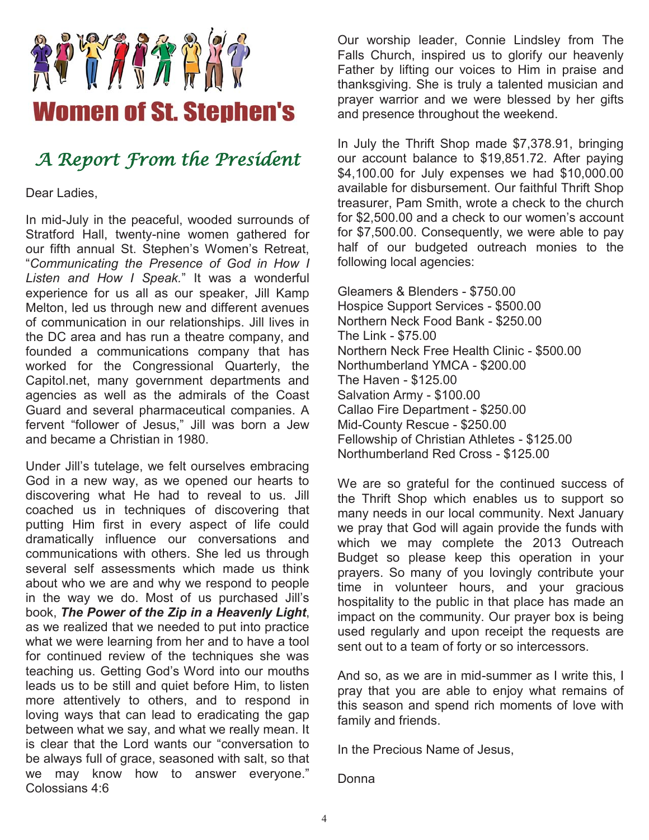

### A Report From the President

Dear Ladies,

In mid-July in the peaceful, wooded surrounds of Stratford Hall, twenty-nine women gathered for our fifth annual St. Stephen's Women's Retreat, "*Communicating the Presence of God in How I Listen and How I Speak.*" It was a wonderful experience for us all as our speaker, Jill Kamp Melton, led us through new and different avenues of communication in our relationships. Jill lives in the DC area and has run a theatre company, and founded a communications company that has worked for the Congressional Quarterly, the Capitol.net, many government departments and agencies as well as the admirals of the Coast Guard and several pharmaceutical companies. A fervent "follower of Jesus," Jill was born a Jew and became a Christian in 1980.

Under Jill's tutelage, we felt ourselves embracing God in a new way, as we opened our hearts to discovering what He had to reveal to us. Jill coached us in techniques of discovering that putting Him first in every aspect of life could dramatically influence our conversations and communications with others. She led us through several self assessments which made us think about who we are and why we respond to people in the way we do. Most of us purchased Jill's book, *The Power of the Zip in a Heavenly Light*, as we realized that we needed to put into practice what we were learning from her and to have a tool for continued review of the techniques she was teaching us. Getting God's Word into our mouths leads us to be still and quiet before Him, to listen more attentively to others, and to respond in loving ways that can lead to eradicating the gap between what we say, and what we really mean. It is clear that the Lord wants our "conversation to be always full of grace, seasoned with salt, so that we may know how to answer everyone." Colossians 4:6

Our worship leader, Connie Lindsley from The Falls Church, inspired us to glorify our heavenly Father by lifting our voices to Him in praise and thanksgiving. She is truly a talented musician and prayer warrior and we were blessed by her gifts and presence throughout the weekend.

In July the Thrift Shop made \$7,378.91, bringing our account balance to \$19,851.72. After paying \$4,100.00 for July expenses we had \$10,000.00 available for disbursement. Our faithful Thrift Shop treasurer, Pam Smith, wrote a check to the church for \$2,500.00 and a check to our women's account for \$7,500.00. Consequently, we were able to pay half of our budgeted outreach monies to the following local agencies:

Gleamers & Blenders - \$750.00 Hospice Support Services - \$500.00 Northern Neck Food Bank - \$250.00 The Link - \$75.00 Northern Neck Free Health Clinic - \$500.00 Northumberland YMCA - \$200.00 The Haven - \$125.00 Salvation Army - \$100.00 Callao Fire Department - \$250.00 Mid-County Rescue - \$250.00 Fellowship of Christian Athletes - \$125.00 Northumberland Red Cross - \$125.00

We are so grateful for the continued success of the Thrift Shop which enables us to support so many needs in our local community. Next January we pray that God will again provide the funds with which we may complete the 2013 Outreach Budget so please keep this operation in your prayers. So many of you lovingly contribute your time in volunteer hours, and your gracious hospitality to the public in that place has made an impact on the community. Our prayer box is being used regularly and upon receipt the requests are sent out to a team of forty or so intercessors.

And so, as we are in mid-summer as I write this, I pray that you are able to enjoy what remains of this season and spend rich moments of love with family and friends.

In the Precious Name of Jesus,

Donna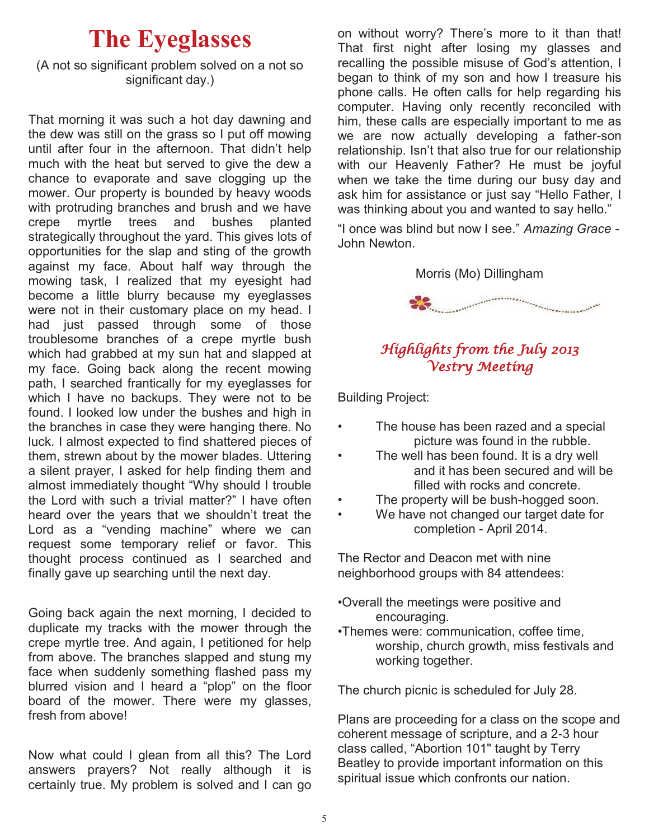# **The Eyeglasses**

#### (A not so significant problem solved on a not so significant day.)

That morning it was such a hot day dawning and the dew was still on the grass so I put off mowing until after four in the afternoon. That didn't help much with the heat but served to give the dew a chance to evaporate and save clogging up the mower. Our property is bounded by heavy woods with protruding branches and brush and we have crepe myrtle trees and bushes planted strategically throughout the yard. This gives lots of opportunities for the slap and sting of the growth against my face. About half way through the mowing task, I realized that my eyesight had become a little blurry because my eyeglasses were not in their customary place on my head. I had just passed through some of those troublesome branches of a crepe myrtle bush which had grabbed at my sun hat and slapped at my face. Going back along the recent mowing path, I searched frantically for my eyeglasses for which I have no backups. They were not to be found. I looked low under the bushes and high in the branches in case they were hanging there. No luck. I almost expected to find shattered pieces of them, strewn about by the mower blades. Uttering a silent prayer, I asked for help finding them and almost immediately thought "Why should I trouble the Lord with such a trivial matter?" I have often heard over the years that we shouldn't treat the Lord as a "vending machine" where we can request some temporary relief or favor. This thought process continued as I searched and finally gave up searching until the next day.

Going back again the next morning, I decided to duplicate my tracks with the mower through the crepe myrtle tree. And again, I petitioned for help from above. The branches slapped and stung my face when suddenly something flashed pass my blurred vision and I heard a "plop" on the floor board of the mower. There were my glasses, fresh from above!

Now what could I glean from all this? The Lord answers prayers? Not really although it is certainly true. My problem is solved and I can go

on without worry? There's more to it than that! That first night after losing my glasses and recalling the possible misuse of God's attention, I began to think of my son and how I treasure his phone calls. He often calls for help regarding his computer. Having only recently reconciled with him, these calls are especially important to me as we are now actually developing a father-son relationship. Isn't that also true for our relationship with our Heavenly Father? He must be joyful when we take the time during our busy day and ask him for assistance or just say "Hello Father, I was thinking about you and wanted to say hello."

"I once was blind but now I see." *Amazing Grace -*  John Newton.

#### Morris (Mo) Dillingham



#### Highlights from the July 2013 Vestry Meeting

Building Project:

- The house has been razed and a special picture was found in the rubble.
- The well has been found. It is a dry well and it has been secured and will be filled with rocks and concrete.
- The property will be bush-hogged soon.
- We have not changed our target date for completion - April 2014.

The Rector and Deacon met with nine neighborhood groups with 84 attendees:

- •Overall the meetings were positive and encouraging.
- •Themes were: communication, coffee time, worship, church growth, miss festivals and working together.

The church picnic is scheduled for July 28.

Plans are proceeding for a class on the scope and coherent message of scripture, and a 2-3 hour class called, "Abortion 101" taught by Terry Beatley to provide important information on this spiritual issue which confronts our nation.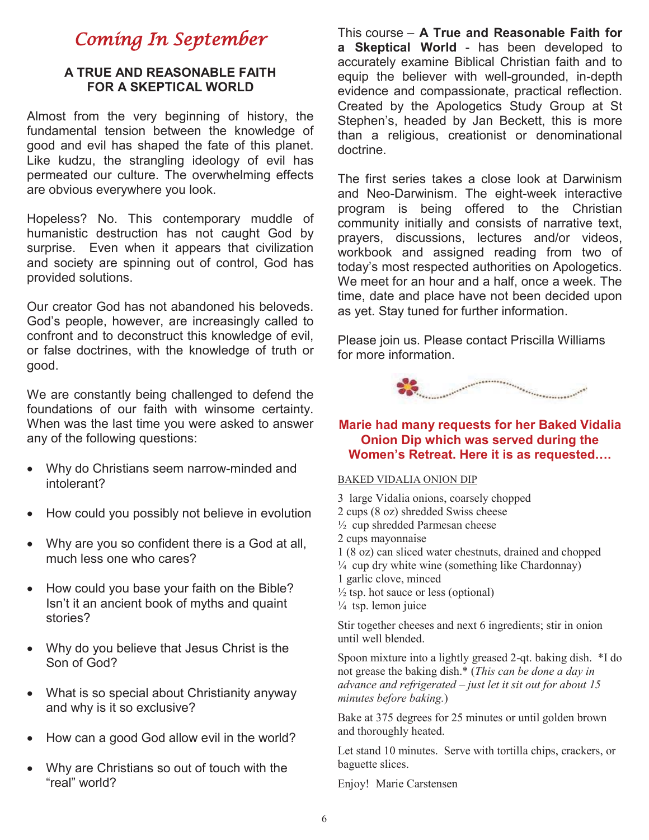### Coming In September

#### **A TRUE AND REASONABLE FAITH FOR A SKEPTICAL WORLD**

Almost from the very beginning of history, the fundamental tension between the knowledge of good and evil has shaped the fate of this planet. Like kudzu, the strangling ideology of evil has permeated our culture. The overwhelming effects are obvious everywhere you look.

Hopeless? No. This contemporary muddle of humanistic destruction has not caught God by surprise. Even when it appears that civilization and society are spinning out of control, God has provided solutions.

Our creator God has not abandoned his beloveds. God's people, however, are increasingly called to confront and to deconstruct this knowledge of evil, or false doctrines, with the knowledge of truth or good.

We are constantly being challenged to defend the foundations of our faith with winsome certainty. When was the last time you were asked to answer any of the following questions:

- Why do Christians seem narrow-minded and intolerant?
- How could you possibly not believe in evolution
- Why are you so confident there is a God at all, much less one who cares?
- How could you base your faith on the Bible? Isn't it an ancient book of myths and quaint stories?
- Why do you believe that Jesus Christ is the Son of God?
- What is so special about Christianity anyway and why is it so exclusive?
- How can a good God allow evil in the world?
- Why are Christians so out of touch with the "real" world?

This course – **A True and Reasonable Faith for a Skeptical World** - has been developed to accurately examine Biblical Christian faith and to equip the believer with well-grounded, in-depth evidence and compassionate, practical reflection. Created by the Apologetics Study Group at St Stephen's, headed by Jan Beckett, this is more than a religious, creationist or denominational doctrine.

The first series takes a close look at Darwinism and Neo-Darwinism. The eight-week interactive program is being offered to the Christian community initially and consists of narrative text, prayers, discussions, lectures and/or videos, workbook and assigned reading from two of today's most respected authorities on Apologetics. We meet for an hour and a half, once a week. The time, date and place have not been decided upon as yet. Stay tuned for further information.

Please join us. Please contact Priscilla Williams for more information.



#### **Marie had many requests for her Baked Vidalia Onion Dip which was served during the Women's Retreat. Here it is as requested….**

#### BAKED VIDALIA ONION DIP

- 3 large Vidalia onions, coarsely chopped
- 2 cups (8 oz) shredded Swiss cheese
- ½ cup shredded Parmesan cheese
- 2 cups mayonnaise
- 1 (8 oz) can sliced water chestnuts, drained and chopped
- $\frac{1}{4}$  cup dry white wine (something like Chardonnay)
- 1 garlic clove, minced
- $\frac{1}{2}$  tsp. hot sauce or less (optional)

 $\frac{1}{4}$  tsp. lemon juice

Stir together cheeses and next 6 ingredients; stir in onion until well blended.

Spoon mixture into a lightly greased 2-qt. baking dish. \*I do not grease the baking dish.\* (*This can be done a day in advance and refrigerated – just let it sit out for about 15 minutes before baking.*)

Bake at 375 degrees for 25 minutes or until golden brown and thoroughly heated.

Let stand 10 minutes. Serve with tortilla chips, crackers, or baguette slices.

Enjoy! Marie Carstensen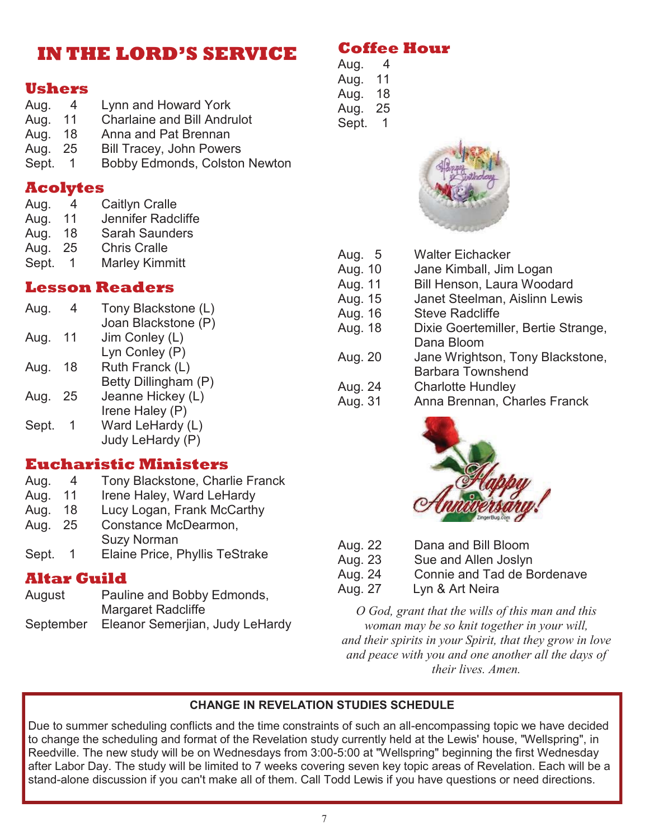### **IN THE LORD'S SERVICE**

#### **Ushers**

| Aug.    | 4              | Lynn and Howard York               |
|---------|----------------|------------------------------------|
| Aug.    | 11             | <b>Charlaine and Bill Andrulot</b> |
| Aug.    | 18             | Anna and Pat Brennan               |
| Aug. 25 |                | <b>Bill Tracey, John Powers</b>    |
| Sept.   | $\overline{1}$ | Bobby Edmonds, Colston Newton      |

#### **Acolytes**

| Aug.         | 4 | <b>Caitlyn Cralle</b>        |
|--------------|---|------------------------------|
| $\mathbf{A}$ |   | ککٹا جاتا ہے جس کا مرحل کا ا |

| Aug. | 11     | Jennifer Radcliffe                                                                                        |
|------|--------|-----------------------------------------------------------------------------------------------------------|
|      | $\sim$ | $\bigcap_{n=1}^{\infty}$ . $\bigcap_{n=1}^{\infty}$ . $\bigcap_{n=1}^{\infty}$ . $\bigcap_{n=1}^{\infty}$ |

- Aug. 18 Sarah Saunders
- Aug. 25 Chris Cralle
- Sept. 1 Marley Kimmitt

#### **Lesson Readers**

| Aug.  |    | Tony Blackstone (L)  |
|-------|----|----------------------|
|       |    | Joan Blackstone (P)  |
| Aug.  | 11 | Jim Conley (L)       |
|       |    | Lyn Conley (P)       |
| Aug.  | 18 | Ruth Franck (L)      |
|       |    | Betty Dillingham (P) |
| Aug.  | 25 | Jeanne Hickey (L)    |
|       |    | Irene Haley (P)      |
| Sept. |    | Ward LeHardy (L)     |
|       |    | Judy LeHardy (P)     |
|       |    |                      |

#### **Eucharistic Ministers**

- Aug. 4 Tony Blackstone, Charlie Franck
- Aug. 11 Irene Haley, Ward LeHardy
- Aug. 18 Lucy Logan, Frank McCarthy
- Aug. 25 Constance McDearmon, Suzy Norman
- Sept. 1 Elaine Price, Phyllis TeStrake

#### **Altar Guild**

| August    | Pauline and Bobby Edmonds,      |
|-----------|---------------------------------|
|           | <b>Margaret Radcliffe</b>       |
| September | Eleanor Semerjian, Judy LeHardy |

#### **Coffee Hour**

Aug. 4 Aug. 11 Aug. 18 Aug. 25 Sept. 1



| Aug. 5  | <b>Walter Eichacker</b>             |
|---------|-------------------------------------|
| Aug. 10 | Jane Kimball, Jim Logan             |
| Aug. 11 | Bill Henson, Laura Woodard          |
| Aug. 15 | Janet Steelman, Aislinn Lewis       |
| Aug. 16 | <b>Steve Radcliffe</b>              |
| Aug. 18 | Dixie Goertemiller, Bertie Strange, |
|         | Dana Bloom                          |
| Aug. 20 | Jane Wrightson, Tony Blackstone,    |
|         | <b>Barbara Townshend</b>            |
| Aug. 24 | <b>Charlotte Hundley</b>            |
| Aug. 31 | Anna Brennan, Charles Franck        |
|         |                                     |



| Aug. 22 | Dana and Bill Bloom         |
|---------|-----------------------------|
| Aug. 23 | Sue and Allen Joslyn        |
| Aug. 24 | Connie and Tad de Bordenave |
| Aug. 27 | Lyn & Art Neira             |

*O God, grant that the wills of this man and this woman may be so knit together in your will, and their spirits in your Spirit, that they grow in love and peace with you and one another all the days of their lives. Amen.*

#### **CHANGE IN REVELATION STUDIES SCHEDULE**

Due to summer scheduling conflicts and the time constraints of such an all-encompassing topic we have decided to change the scheduling and format of the Revelation study currently held at the Lewis' house, "Wellspring", in Reedville. The new study will be on Wednesdays from 3:00-5:00 at "Wellspring" beginning the first Wednesday after Labor Day. The study will be limited to 7 weeks covering seven key topic areas of Revelation. Each will be a stand-alone discussion if you can't make all of them. Call Todd Lewis if you have questions or need directions.